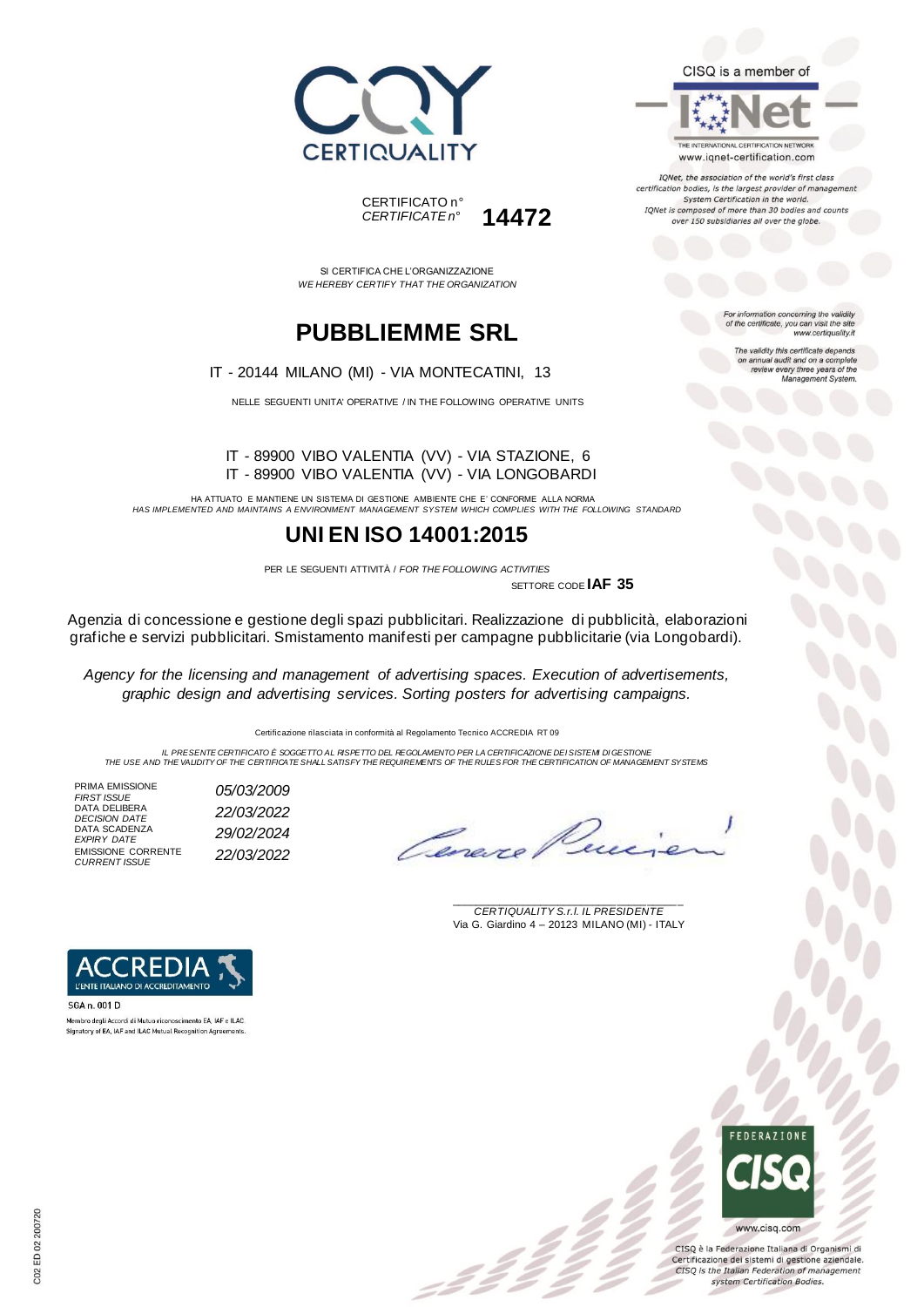



SI CERTIFICA CHE L'ORGANIZZAZIONE *WE HEREBY CERTIFY THAT THE ORGANIZATION*

# **PUBBLIEMME SRL**

IT - 20144 MILANO (MI) - VIA MONTECATINI, 13

NELLE SEGUENTI UNITA' OPERATIVE / IN THE FOLLOWING OPERATIVE UNITS

#### IT - 89900 VIBO VALENTIA (VV) - VIA STAZIONE, 6 IT - 89900 VIBO VALENTIA (VV) - VIA LONGOBARDI

HA ATTUATO E MANTIENE UN SISTEMA DI GESTIONE AMBIENTE CHE E' CONFORME ALLA NORMA *HAS IMPLEMENTED AND MAINTAINS A ENVIRONMENT MANAGEMENT SYSTEM WHICH COMPLIES WITH THE FOLLOWING STANDARD*

## **UNI EN ISO 14001:2015**

PER LE SEGUENTI ATTIVITÀ / *FOR THE FOLLOWING ACTIVITIES* SETTORE CODE **IAF 35**

:22

Agenzia di concessione e gestione degli spazi pubblicitari. Realizzazione di pubblicità, elaborazioni grafiche e servizi pubblicitari. Smistamento manifesti per campagne pubblicitarie (via Longobardi).

*Agency for the licensing and management of advertising spaces. Execution of advertisements, graphic design and advertising services. Sorting posters for advertising campaigns.*

Certificazione rilasciata in conformità al Regolamento Tecnico ACCREDIA RT 09

IL PRESENTE CERTIFICATO E SOGGETTO AL RISPETTO DEL PEGOLAMENTO PER LA CERTIFICAZIONE DEI SISTEMI DI GESTIONE<br>THE USE AND THE VALIDITY OF THE CERTIFICATE SHALL SATISFY THE REQUIREMENTS OF THE RULES FOR THE CERTIFICATION OF

PRIMA EMISSIONE<br>FIRST ISSUE DATA DELIBERA *DECISION DATE 22/03/2022* DATA SCADENZA *EXPIRY DATE 29/02/2024* EMISSIONE CORRENTE *CURRENT ISSUE 22/03/2022*

*FIRST ISSUE 05/03/2009*

Care re

\_\_\_\_\_\_\_\_\_\_\_\_\_\_\_\_\_\_\_\_\_\_\_\_\_\_\_\_\_\_\_\_\_\_\_\_\_\_\_ *CERTIQUALITY S.r.l. IL PRESIDENTE* Via G. Giardino 4 – 20123 MILANO (MI) - ITALY



Membro degli Accordi di Mutuo riconoscimento EA, IAF e ILAC Signatory of EA, IAF and ILAC Mutual Recognition Agreem



CISQ è la Federazione Italiana di Organismi di Certificazione dei sistemi di gestione aziendale. CISQ is the Italian Federation of management system Certification Bodies.



CISQ is a member of

www.iqnet-certification.com

IQNet, the association of the world's first class certification bodies, is the largest provider of managem System Certification in the world. IQNet is composed of more than 30 bodies and counts over 150 subsidiaries all over the globe.

> For information concerning the validity<br>of the certificate, you can visit the site www.certiquality.it

> > The validity this certificate depends on annual audit and on a complete<br>review every three years of the<br>Management System.